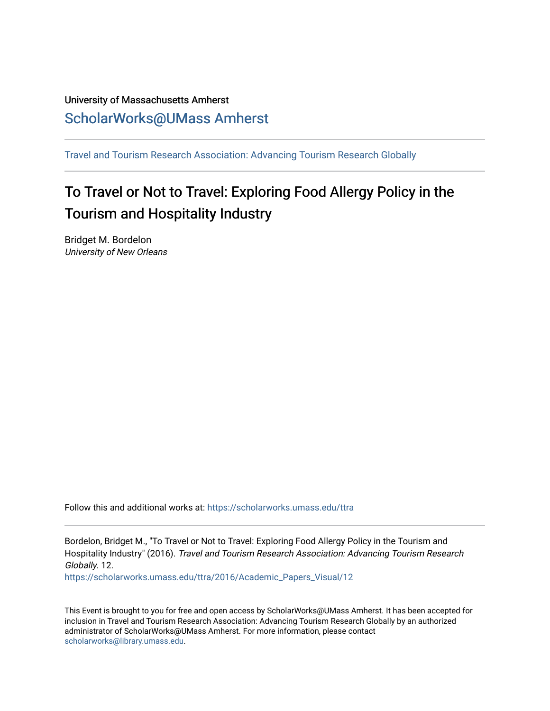# University of Massachusetts Amherst [ScholarWorks@UMass Amherst](https://scholarworks.umass.edu/)

[Travel and Tourism Research Association: Advancing Tourism Research Globally](https://scholarworks.umass.edu/ttra) 

# To Travel or Not to Travel: Exploring Food Allergy Policy in the Tourism and Hospitality Industry

Bridget M. Bordelon University of New Orleans

Follow this and additional works at: [https://scholarworks.umass.edu/ttra](https://scholarworks.umass.edu/ttra?utm_source=scholarworks.umass.edu%2Fttra%2F2016%2FAcademic_Papers_Visual%2F12&utm_medium=PDF&utm_campaign=PDFCoverPages)

Bordelon, Bridget M., "To Travel or Not to Travel: Exploring Food Allergy Policy in the Tourism and Hospitality Industry" (2016). Travel and Tourism Research Association: Advancing Tourism Research Globally. 12.

[https://scholarworks.umass.edu/ttra/2016/Academic\\_Papers\\_Visual/12](https://scholarworks.umass.edu/ttra/2016/Academic_Papers_Visual/12?utm_source=scholarworks.umass.edu%2Fttra%2F2016%2FAcademic_Papers_Visual%2F12&utm_medium=PDF&utm_campaign=PDFCoverPages)

This Event is brought to you for free and open access by ScholarWorks@UMass Amherst. It has been accepted for inclusion in Travel and Tourism Research Association: Advancing Tourism Research Globally by an authorized administrator of ScholarWorks@UMass Amherst. For more information, please contact [scholarworks@library.umass.edu.](mailto:scholarworks@library.umass.edu)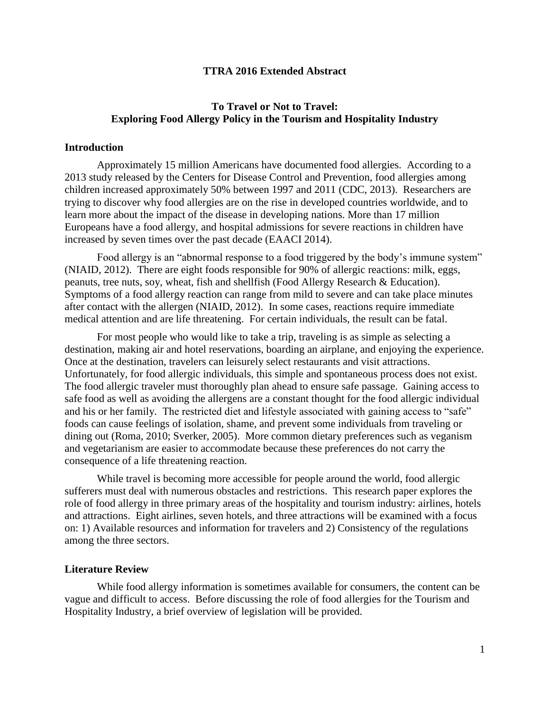#### **TTRA 2016 Extended Abstract**

# **To Travel or Not to Travel: Exploring Food Allergy Policy in the Tourism and Hospitality Industry**

#### **Introduction**

Approximately 15 million Americans have documented food allergies. According to a 2013 study released by the Centers for Disease Control and Prevention, food allergies among children increased approximately 50% between 1997 and 2011 (CDC, 2013). Researchers are trying to discover why food allergies are on the rise in developed countries worldwide, and to learn more about the impact of the disease in developing nations. More than 17 million Europeans have a food allergy, and hospital admissions for severe reactions in children have increased by seven times over the past decade (EAACI 2014).

Food allergy is an "abnormal response to a food triggered by the body's immune system" (NIAID, 2012). There are eight foods responsible for 90% of allergic reactions: milk, eggs, peanuts, tree nuts, soy, wheat, fish and shellfish (Food Allergy Research & Education). Symptoms of a food allergy reaction can range from mild to severe and can take place minutes after contact with the allergen (NIAID, 2012). In some cases, reactions require immediate medical attention and are life threatening. For certain individuals, the result can be fatal.

For most people who would like to take a trip, traveling is as simple as selecting a destination, making air and hotel reservations, boarding an airplane, and enjoying the experience. Once at the destination, travelers can leisurely select restaurants and visit attractions. Unfortunately, for food allergic individuals, this simple and spontaneous process does not exist. The food allergic traveler must thoroughly plan ahead to ensure safe passage. Gaining access to safe food as well as avoiding the allergens are a constant thought for the food allergic individual and his or her family. The restricted diet and lifestyle associated with gaining access to "safe" foods can cause feelings of isolation, shame, and prevent some individuals from traveling or dining out (Roma, 2010; Sverker, 2005). More common dietary preferences such as veganism and vegetarianism are easier to accommodate because these preferences do not carry the consequence of a life threatening reaction.

While travel is becoming more accessible for people around the world, food allergic sufferers must deal with numerous obstacles and restrictions. This research paper explores the role of food allergy in three primary areas of the hospitality and tourism industry: airlines, hotels and attractions. Eight airlines, seven hotels, and three attractions will be examined with a focus on: 1) Available resources and information for travelers and 2) Consistency of the regulations among the three sectors.

#### **Literature Review**

While food allergy information is sometimes available for consumers, the content can be vague and difficult to access. Before discussing the role of food allergies for the Tourism and Hospitality Industry, a brief overview of legislation will be provided.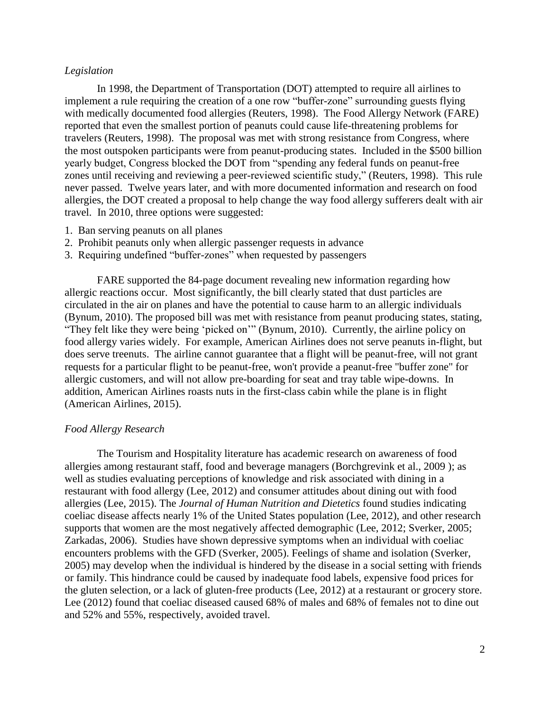#### *Legislation*

In 1998, the Department of Transportation (DOT) attempted to require all airlines to implement a rule requiring the creation of a one row "buffer-zone" surrounding guests flying with medically documented food allergies (Reuters, 1998). The Food Allergy Network (FARE) reported that even the smallest portion of peanuts could cause life-threatening problems for travelers (Reuters, 1998). The proposal was met with strong resistance from Congress, where the most outspoken participants were from peanut-producing states. Included in the \$500 billion yearly budget, Congress blocked the DOT from "spending any federal funds on peanut-free zones until receiving and reviewing a peer-reviewed scientific study," (Reuters, 1998). This rule never passed. Twelve years later, and with more documented information and research on food allergies, the DOT created a proposal to help change the way food allergy sufferers dealt with air travel. In 2010, three options were suggested:

- 1. Ban serving peanuts on all planes
- 2. Prohibit peanuts only when allergic passenger requests in advance
- 3. Requiring undefined "buffer-zones" when requested by passengers

FARE supported the 84-page document revealing new information regarding how allergic reactions occur. Most significantly, the bill clearly stated that dust particles are circulated in the air on planes and have the potential to cause harm to an allergic individuals (Bynum, 2010). The proposed bill was met with resistance from peanut producing states, stating, "They felt like they were being 'picked on'" (Bynum, 2010). Currently, the airline policy on food allergy varies widely. For example, American Airlines does not serve peanuts in-flight, but does serve treenuts. The airline cannot guarantee that a flight will be peanut-free, will not grant requests for a particular flight to be peanut-free, won't provide a peanut-free "buffer zone" for allergic customers, and will not allow pre-boarding for seat and tray table wipe-downs. In addition, American Airlines roasts nuts in the first-class cabin while the plane is in flight (American Airlines, 2015).

#### *Food Allergy Research*

The Tourism and Hospitality literature has academic research on awareness of food allergies among restaurant staff, food and beverage managers (Borchgrevink et al., 2009 ); as well as studies evaluating perceptions of knowledge and risk associated with dining in a restaurant with food allergy (Lee, 2012) and consumer attitudes about dining out with food allergies (Lee, 2015). The *Journal of Human Nutrition and Dietetics* found studies indicating coeliac disease affects nearly 1% of the United States population (Lee, 2012), and other research supports that women are the most negatively affected demographic (Lee, 2012; Sverker, 2005; Zarkadas, 2006). Studies have shown depressive symptoms when an individual with coeliac encounters problems with the GFD (Sverker, 2005). Feelings of shame and isolation (Sverker, 2005) may develop when the individual is hindered by the disease in a social setting with friends or family. This hindrance could be caused by inadequate food labels, expensive food prices for the gluten selection, or a lack of gluten-free products (Lee, 2012) at a restaurant or grocery store. Lee (2012) found that coeliac diseased caused 68% of males and 68% of females not to dine out and 52% and 55%, respectively, avoided travel.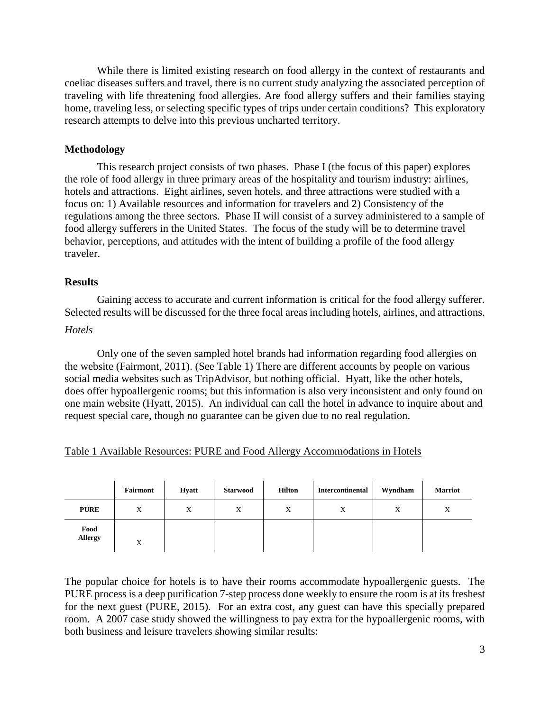While there is limited existing research on food allergy in the context of restaurants and coeliac diseases suffers and travel, there is no current study analyzing the associated perception of traveling with life threatening food allergies. Are food allergy suffers and their families staying home, traveling less, or selecting specific types of trips under certain conditions? This exploratory research attempts to delve into this previous uncharted territory.

# **Methodology**

This research project consists of two phases. Phase I (the focus of this paper) explores the role of food allergy in three primary areas of the hospitality and tourism industry: airlines, hotels and attractions. Eight airlines, seven hotels, and three attractions were studied with a focus on: 1) Available resources and information for travelers and 2) Consistency of the regulations among the three sectors. Phase II will consist of a survey administered to a sample of food allergy sufferers in the United States. The focus of the study will be to determine travel behavior, perceptions, and attitudes with the intent of building a profile of the food allergy traveler.

#### **Results**

Gaining access to accurate and current information is critical for the food allergy sufferer. Selected results will be discussed for the three focal areas including hotels, airlines, and attractions.

#### *Hotels*

Only one of the seven sampled hotel brands had information regarding food allergies on the website (Fairmont, 2011). (See Table 1) There are different accounts by people on various social media websites such as TripAdvisor, but nothing official. Hyatt, like the other hotels, does offer hypoallergenic rooms; but this information is also very inconsistent and only found on one main website (Hyatt, 2015). An individual can call the hotel in advance to inquire about and request special care, though no guarantee can be given due to no real regulation.

|  | Table 1 Available Resources: PURE and Food Allergy Accommodations in Hotels |  |  |  |  |
|--|-----------------------------------------------------------------------------|--|--|--|--|
|--|-----------------------------------------------------------------------------|--|--|--|--|

|                        | Fairmont | <b>Hyatt</b> | <b>Starwood</b> | <b>Hilton</b> | Intercontinental | Wyndham | <b>Marriot</b> |
|------------------------|----------|--------------|-----------------|---------------|------------------|---------|----------------|
| <b>PURE</b>            | X        | X            | X               | X             | X                | X       | X              |
| Food<br><b>Allergy</b> | Χ        |              |                 |               |                  |         |                |

The popular choice for hotels is to have their rooms accommodate hypoallergenic guests. The PURE process is a deep purification 7-step process done weekly to ensure the room is at its freshest for the next guest (PURE, 2015). For an extra cost, any guest can have this specially prepared room. A 2007 case study showed the willingness to pay extra for the hypoallergenic rooms, with both business and leisure travelers showing similar results: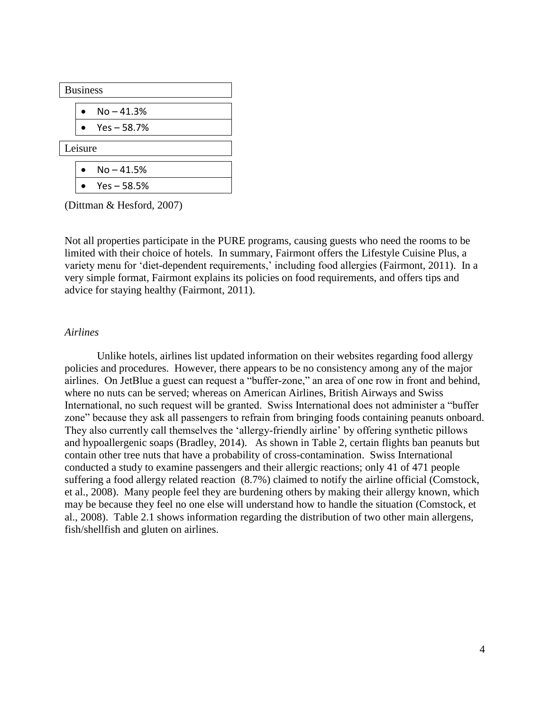|         | <b>Business</b> |               |  |  |  |  |  |
|---------|-----------------|---------------|--|--|--|--|--|
|         |                 | $No - 41.3%$  |  |  |  |  |  |
|         |                 | $Yes - 58.7%$ |  |  |  |  |  |
| Leisure |                 |               |  |  |  |  |  |
|         |                 | $No - 41.5%$  |  |  |  |  |  |
|         |                 | $Yes - 58.5%$ |  |  |  |  |  |

(Dittman & Hesford, 2007)

Not all properties participate in the PURE programs, causing guests who need the rooms to be limited with their choice of hotels. In summary, Fairmont offers the Lifestyle Cuisine Plus, a variety menu for 'diet-dependent requirements,' including food allergies (Fairmont, 2011). In a very simple format, Fairmont explains its policies on food requirements, and offers tips and advice for staying healthy (Fairmont, 2011).

#### *Airlines*

Unlike hotels, airlines list updated information on their websites regarding food allergy policies and procedures. However, there appears to be no consistency among any of the major airlines. On JetBlue a guest can request a "buffer-zone," an area of one row in front and behind, where no nuts can be served; whereas on American Airlines, British Airways and Swiss International, no such request will be granted. Swiss International does not administer a "buffer zone" because they ask all passengers to refrain from bringing foods containing peanuts onboard. They also currently call themselves the 'allergy-friendly airline' by offering synthetic pillows and hypoallergenic soaps (Bradley, 2014). As shown in Table 2, certain flights ban peanuts but contain other tree nuts that have a probability of cross-contamination. Swiss International conducted a study to examine passengers and their allergic reactions; only 41 of 471 people suffering a food allergy related reaction (8.7%) claimed to notify the airline official (Comstock, et al., 2008). Many people feel they are burdening others by making their allergy known, which may be because they feel no one else will understand how to handle the situation (Comstock, et al., 2008). Table 2.1 shows information regarding the distribution of two other main allergens, fish/shellfish and gluten on airlines.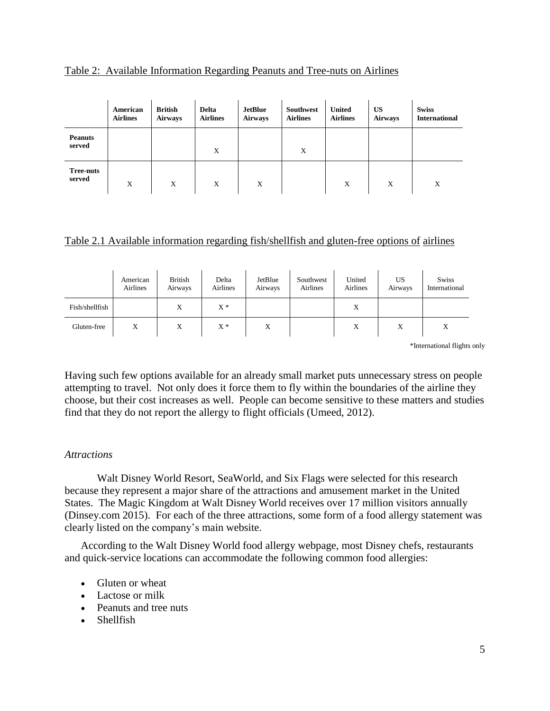|                            | American<br><b>Airlines</b> | <b>British</b><br><b>Airways</b> | <b>Delta</b><br><b>Airlines</b> | <b>JetBlue</b><br><b>Airways</b> | Southwest<br><b>Airlines</b> | <b>United</b><br><b>Airlines</b> | <b>US</b><br><b>Airways</b> | <b>Swiss</b><br><b>International</b> |
|----------------------------|-----------------------------|----------------------------------|---------------------------------|----------------------------------|------------------------------|----------------------------------|-----------------------------|--------------------------------------|
| <b>Peanuts</b><br>served   |                             |                                  | X                               |                                  | X                            |                                  |                             |                                      |
| <b>Tree-nuts</b><br>served | X                           | X                                | X                               | X                                |                              | X                                | X                           | X                                    |

#### Table 2: Available Information Regarding Peanuts and Tree-nuts on Airlines

# Table 2.1 Available information regarding fish/shellfish and gluten-free options of airlines

|                | American<br><b>Airlines</b> | <b>British</b><br>Airways | Delta<br>Airlines | JetBlue<br>Airways | Southwest<br>Airlines | United<br>Airlines | US<br>Airways | <b>Swiss</b><br>International |
|----------------|-----------------------------|---------------------------|-------------------|--------------------|-----------------------|--------------------|---------------|-------------------------------|
| Fish/shellfish |                             | X                         | $X^*$             |                    |                       | X                  |               |                               |
| Gluten-free    | X                           | X                         | $X^*$             | X                  |                       | X                  | X             | X                             |

\*International flights only

Having such few options available for an already small market puts unnecessary stress on people attempting to travel. Not only does it force them to fly within the boundaries of the airline they choose, but their cost increases as well. People can become sensitive to these matters and studies find that they do not report the allergy to flight officials (Umeed, 2012).

# *Attractions*

Walt Disney World Resort, SeaWorld, and Six Flags were selected for this research because they represent a major share of the attractions and amusement market in the United States. The Magic Kingdom at Walt Disney World receives over 17 million visitors annually (Dinsey.com 2015). For each of the three attractions, some form of a food allergy statement was clearly listed on the company's main website.

According to the Walt Disney World food allergy webpage, most Disney chefs, restaurants and quick-service locations can accommodate the following common food allergies:

- Gluten or wheat
- Lactose or milk
- Peanuts and tree nuts
- Shellfish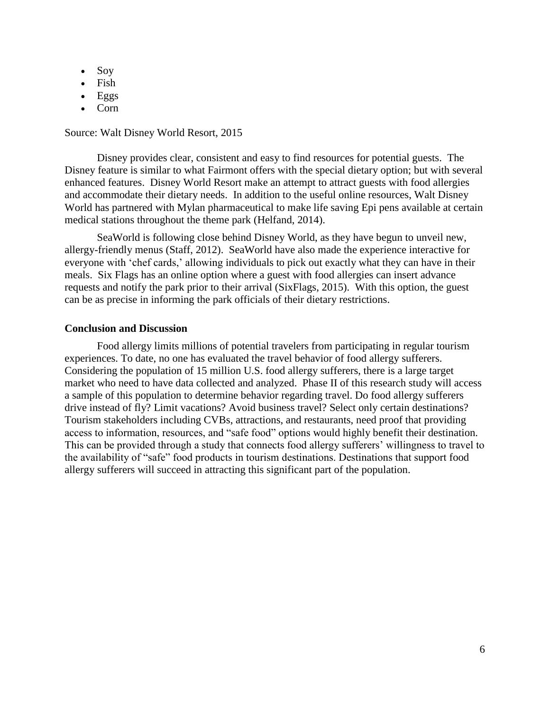- $\bullet$  Soy
- Fish
- Eggs
- Corn

#### Source: Walt Disney World Resort, 2015

Disney provides clear, consistent and easy to find resources for potential guests. The Disney feature is similar to what Fairmont offers with the special dietary option; but with several enhanced features. Disney World Resort make an attempt to attract guests with food allergies and accommodate their dietary needs. In addition to the useful online resources, Walt Disney World has partnered with Mylan pharmaceutical to make life saving Epi pens available at certain medical stations throughout the theme park (Helfand, 2014).

SeaWorld is following close behind Disney World, as they have begun to unveil new, allergy-friendly menus (Staff, 2012). SeaWorld have also made the experience interactive for everyone with 'chef cards,' allowing individuals to pick out exactly what they can have in their meals. Six Flags has an online option where a guest with food allergies can insert advance requests and notify the park prior to their arrival (SixFlags, 2015). With this option, the guest can be as precise in informing the park officials of their dietary restrictions.

#### **Conclusion and Discussion**

Food allergy limits millions of potential travelers from participating in regular tourism experiences. To date, no one has evaluated the travel behavior of food allergy sufferers. Considering the population of 15 million U.S. food allergy sufferers, there is a large target market who need to have data collected and analyzed. Phase II of this research study will access a sample of this population to determine behavior regarding travel. Do food allergy sufferers drive instead of fly? Limit vacations? Avoid business travel? Select only certain destinations? Tourism stakeholders including CVBs, attractions, and restaurants, need proof that providing access to information, resources, and "safe food" options would highly benefit their destination. This can be provided through a study that connects food allergy sufferers' willingness to travel to the availability of "safe" food products in tourism destinations. Destinations that support food allergy sufferers will succeed in attracting this significant part of the population.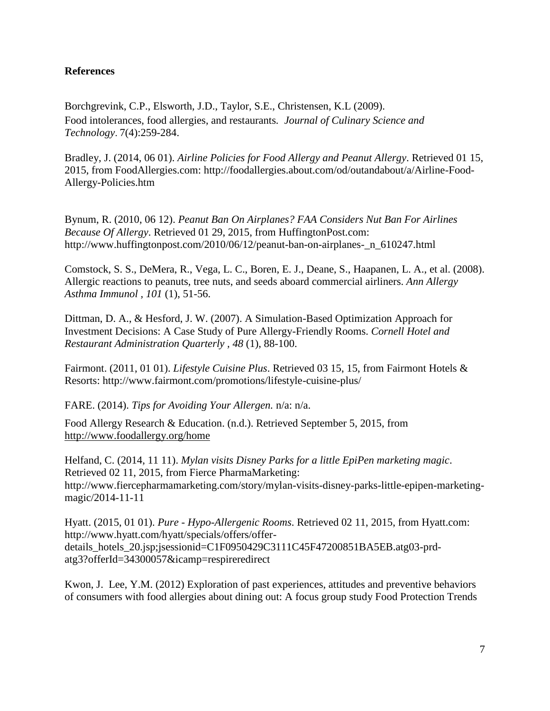# **References**

Borchgrevink, C.P., Elsworth, J.D., Taylor, S.E., Christensen, K.L (2009). Food intolerances, food allergies, and restaurants*. Journal of Culinary Science and Technology*. 7(4):259-284.

Bradley, J. (2014, 06 01). *Airline Policies for Food Allergy and Peanut Allergy*. Retrieved 01 15, 2015, from FoodAllergies.com: http://foodallergies.about.com/od/outandabout/a/Airline-Food-Allergy-Policies.htm

Bynum, R. (2010, 06 12). *Peanut Ban On Airplanes? FAA Considers Nut Ban For Airlines Because Of Allergy*. Retrieved 01 29, 2015, from HuffingtonPost.com: http://www.huffingtonpost.com/2010/06/12/peanut-ban-on-airplanes-\_n\_610247.html

Comstock, S. S., DeMera, R., Vega, L. C., Boren, E. J., Deane, S., Haapanen, L. A., et al. (2008). Allergic reactions to peanuts, tree nuts, and seeds aboard commercial airliners. *Ann Allergy Asthma Immunol , 101* (1), 51-56.

Dittman, D. A., & Hesford, J. W. (2007). A Simulation-Based Optimization Approach for Investment Decisions: A Case Study of Pure Allergy-Friendly Rooms. *Cornell Hotel and Restaurant Administration Quarterly , 48* (1), 88-100.

Fairmont. (2011, 01 01). *Lifestyle Cuisine Plus*. Retrieved 03 15, 15, from Fairmont Hotels & Resorts: http://www.fairmont.com/promotions/lifestyle-cuisine-plus/

FARE. (2014). *Tips for Avoiding Your Allergen.* n/a: n/a.

Food Allergy Research & Education. (n.d.). Retrieved September 5, 2015, from <http://www.foodallergy.org/home>

Helfand, C. (2014, 11 11). *Mylan visits Disney Parks for a little EpiPen marketing magic*. Retrieved 02 11, 2015, from Fierce PharmaMarketing: http://www.fiercepharmamarketing.com/story/mylan-visits-disney-parks-little-epipen-marketingmagic/2014-11-11

Hyatt. (2015, 01 01). *Pure - Hypo-Allergenic Rooms*. Retrieved 02 11, 2015, from Hyatt.com: http://www.hyatt.com/hyatt/specials/offers/offerdetails\_hotels\_20.jsp;jsessionid=C1F0950429C3111C45F47200851BA5EB.atg03-prdatg3?offerId=34300057&icamp=respireredirect

Kwon, J. Lee, Y.M. (2012) Exploration of past experiences, attitudes and preventive behaviors of consumers with food allergies about dining out: A focus group study Food Protection Trends